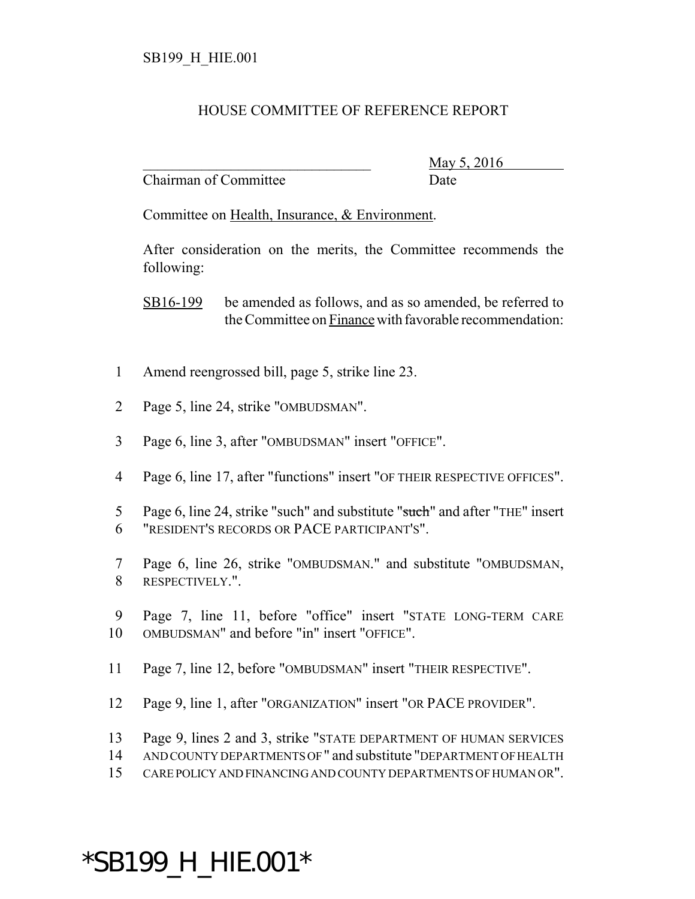## HOUSE COMMITTEE OF REFERENCE REPORT

Chairman of Committee Date

\_\_\_\_\_\_\_\_\_\_\_\_\_\_\_\_\_\_\_\_\_\_\_\_\_\_\_\_\_\_\_ May 5, 2016

Committee on Health, Insurance, & Environment.

After consideration on the merits, the Committee recommends the following:

SB16-199 be amended as follows, and as so amended, be referred to the Committee on Finance with favorable recommendation:

- 1 Amend reengrossed bill, page 5, strike line 23.
- 2 Page 5, line 24, strike "OMBUDSMAN".
- 3 Page 6, line 3, after "OMBUDSMAN" insert "OFFICE".
- 4 Page 6, line 17, after "functions" insert "OF THEIR RESPECTIVE OFFICES".
- 5 Page 6, line 24, strike "such" and substitute "such" and after "THE" insert 6 "RESIDENT'S RECORDS OR PACE PARTICIPANT'S".
- 7 Page 6, line 26, strike "OMBUDSMAN." and substitute "OMBUDSMAN, 8 RESPECTIVELY.".
- 9 Page 7, line 11, before "office" insert "STATE LONG-TERM CARE 10 OMBUDSMAN" and before "in" insert "OFFICE".
- 11 Page 7, line 12, before "OMBUDSMAN" insert "THEIR RESPECTIVE".
- 12 Page 9, line 1, after "ORGANIZATION" insert "OR PACE PROVIDER".
- 13 Page 9, lines 2 and 3, strike "STATE DEPARTMENT OF HUMAN SERVICES
- 14 AND COUNTY DEPARTMENTS OF " and substitute "DEPARTMENT OF HEALTH
- 15 CARE POLICY AND FINANCING AND COUNTY DEPARTMENTS OF HUMAN OR".

## \*SB199\_H\_HIE.001\*